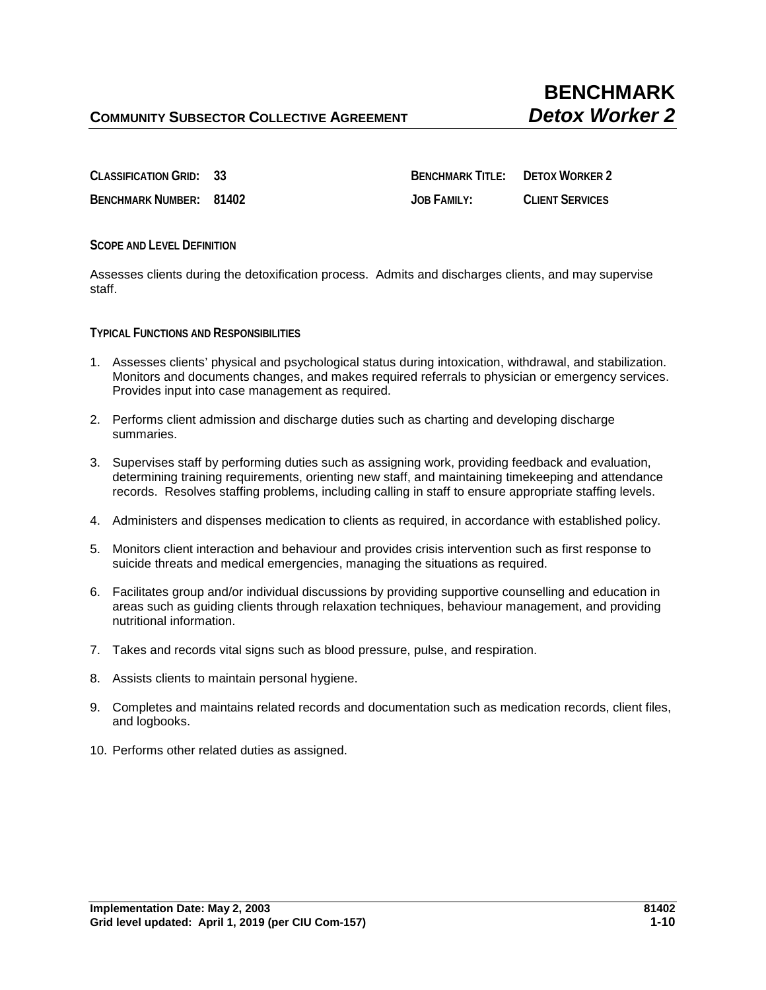**CLASSIFICATION GRID: 33 BENCHMARK TITLE: DETOX WORKER 2 BENCHMARK NUMBER: 81402 JOB FAMILY: CLIENT SERVICES**

**SCOPE AND LEVEL DEFINITION**

Assesses clients during the detoxification process. Admits and discharges clients, and may supervise staff.

**TYPICAL FUNCTIONS AND RESPONSIBILITIES** 

- 1. Assesses clients' physical and psychological status during intoxication, withdrawal, and stabilization. Monitors and documents changes, and makes required referrals to physician or emergency services. Provides input into case management as required.
- 2. Performs client admission and discharge duties such as charting and developing discharge summaries.
- 3. Supervises staff by performing duties such as assigning work, providing feedback and evaluation, determining training requirements, orienting new staff, and maintaining timekeeping and attendance records. Resolves staffing problems, including calling in staff to ensure appropriate staffing levels.
- 4. Administers and dispenses medication to clients as required, in accordance with established policy.
- 5. Monitors client interaction and behaviour and provides crisis intervention such as first response to suicide threats and medical emergencies, managing the situations as required.
- 6. Facilitates group and/or individual discussions by providing supportive counselling and education in areas such as guiding clients through relaxation techniques, behaviour management, and providing nutritional information.
- 7. Takes and records vital signs such as blood pressure, pulse, and respiration.
- 8. Assists clients to maintain personal hygiene.
- 9. Completes and maintains related records and documentation such as medication records, client files, and logbooks.
- 10. Performs other related duties as assigned.